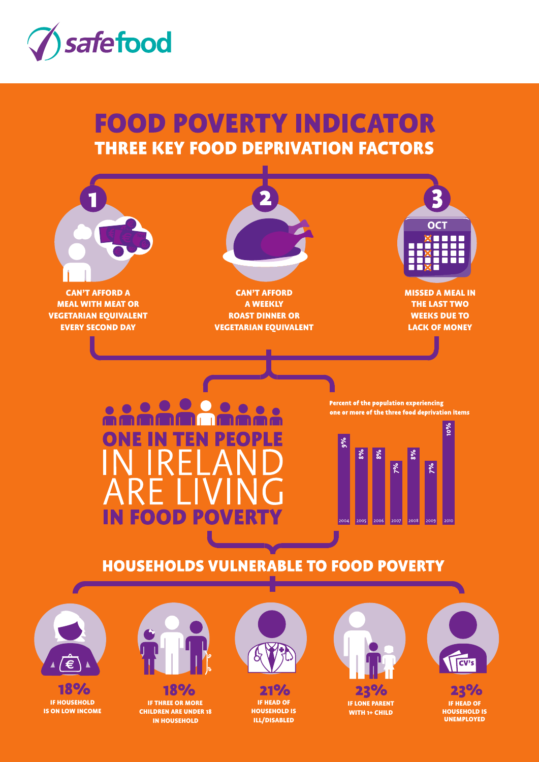

# **FOOD POVERTY INDICATOR THREE KEY FOOD DEPRIVATION FACTORS**